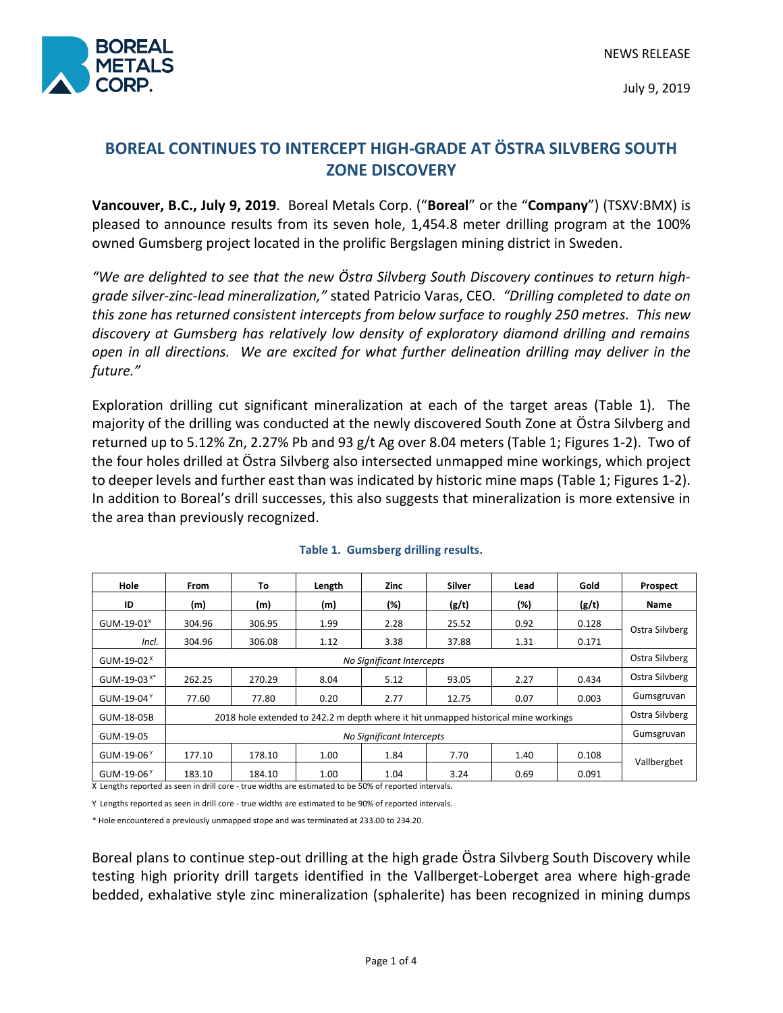

July 9, 2019

# **BOREAL CONTINUES TO INTERCEPT HIGH-GRADE AT ÖSTRA SILVBERG SOUTH ZONE DISCOVERY**

**Vancouver, B.C., July 9, 2019**. Boreal Metals Corp. ("**Boreal**" or the "**Company**") (TSXV:BMX) is pleased to announce results from its seven hole, 1,454.8 meter drilling program at the 100% owned Gumsberg project located in the prolific Bergslagen mining district in Sweden.

*"We are delighted to see that the new Östra Silvberg South Discovery continues to return highgrade silver-zinc-lead mineralization,"* stated Patricio Varas, CEO*. "Drilling completed to date on this zone has returned consistent intercepts from below surface to roughly 250 metres. This new discovery at Gumsberg has relatively low density of exploratory diamond drilling and remains open in all directions. We are excited for what further delineation drilling may deliver in the future."*

Exploration drilling cut significant mineralization at each of the target areas (Table 1). The majority of the drilling was conducted at the newly discovered South Zone at Östra Silvberg and returned up to 5.12% Zn, 2.27% Pb and 93 g/t Ag over 8.04 meters (Table 1; Figures 1-2). Two of the four holes drilled at Östra Silvberg also intersected unmapped mine workings, which project to deeper levels and further east than was indicated by historic mine maps (Table 1; Figures 1-2). In addition to Boreal's drill successes, this also suggests that mineralization is more extensive in the area than previously recognized.

| Hole                    | <b>From</b>                                                                        | To     | Length | Zinc | Silver | Lead | Gold  | Prospect       |
|-------------------------|------------------------------------------------------------------------------------|--------|--------|------|--------|------|-------|----------------|
| ID                      | (m)                                                                                | (m)    | (m)    | (%)  | (g/t)  | (%)  | (g/t) | Name           |
| GUM-19-01 $^{\text{X}}$ | 304.96                                                                             | 306.95 | 1.99   | 2.28 | 25.52  | 0.92 | 0.128 | Ostra Silvberg |
| Incl.                   | 304.96                                                                             | 306.08 | 1.12   | 3.38 | 37.88  | 1.31 | 0.171 |                |
| GUM-19-02 $^{\text{X}}$ | No Significant Intercepts                                                          |        |        |      |        |      |       | Ostra Silvberg |
| GUM-19-03 <sup>x*</sup> | 262.25                                                                             | 270.29 | 8.04   | 5.12 | 93.05  | 2.27 | 0.434 | Ostra Silvberg |
| GUM-19-04 $^{\circ}$    | 77.60                                                                              | 77.80  | 0.20   | 2.77 | 12.75  | 0.07 | 0.003 | Gumsgruvan     |
| GUM-18-05B              | 2018 hole extended to 242.2 m depth where it hit unmapped historical mine workings |        |        |      |        |      |       | Ostra Silvberg |
| GUM-19-05               | No Significant Intercepts                                                          |        |        |      |        |      |       | Gumsgruvan     |
| GUM-19-06 $Y$           | 177.10                                                                             | 178.10 | 1.00   | 1.84 | 7.70   | 1.40 | 0.108 | Vallbergbet    |
| GUM-19-06 $Y$           | 183.10                                                                             | 184.10 | 1.00   | 1.04 | 3.24   | 0.69 | 0.091 |                |

#### **Table 1. Gumsberg drilling results.**

X Lengths reported as seen in drill core - true widths are estimated to be 50% of reported intervals.

Y Lengths reported as seen in drill core - true widths are estimated to be 90% of reported intervals.

\* Hole encountered a previously unmapped stope and was terminated at 233.00 to 234.20.

Boreal plans to continue step-out drilling at the high grade Östra Silvberg South Discovery while testing high priority drill targets identified in the Vallberget-Loberget area where high-grade bedded, exhalative style zinc mineralization (sphalerite) has been recognized in mining dumps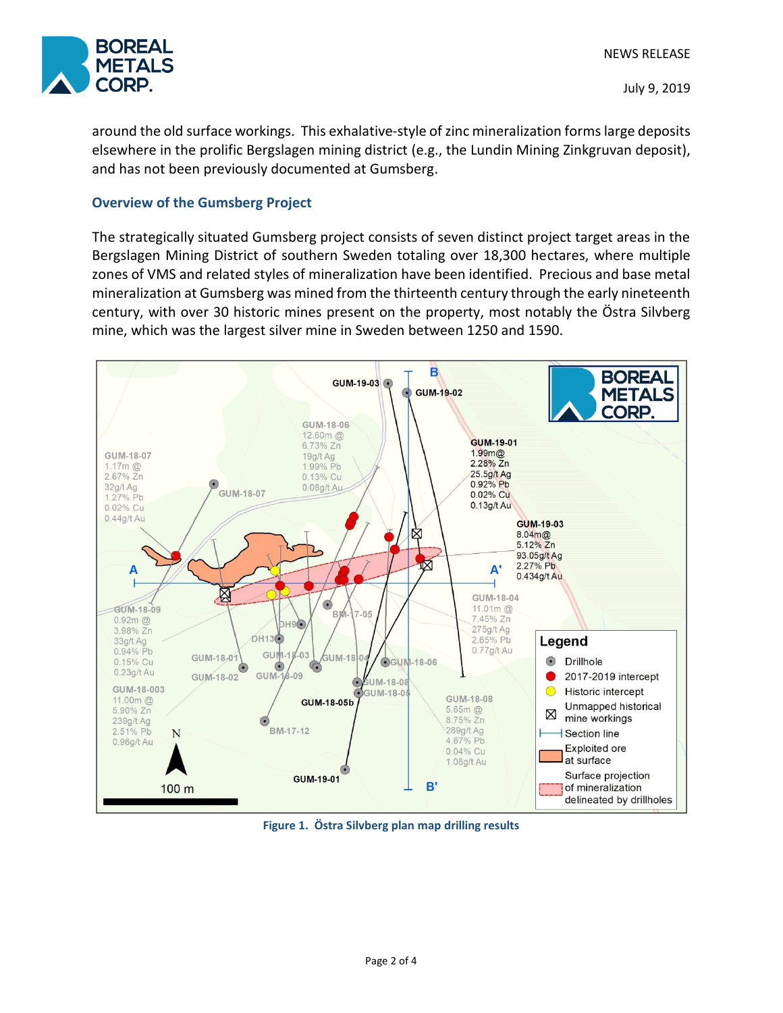

around the old surface workings. This exhalative-style of zinc mineralization forms large deposits elsewhere in the prolific Bergslagen mining district (e.g., the Lundin Mining Zinkgruvan deposit), and has not been previously documented at Gumsberg.

# **Overview of the Gumsberg Project**

The strategically situated Gumsberg project consists of seven distinct project target areas in the Bergslagen Mining District of southern Sweden totaling over 18,300 hectares, where multiple zones of VMS and related styles of mineralization have been identified. Precious and base metal mineralization at Gumsberg was mined from the thirteenth century through the early nineteenth century, with over 30 historic mines present on the property, most notably the Östra Silvberg mine, which was the largest silver mine in Sweden between 1250 and 1590.



**Figure 1. Östra Silvberg plan map drilling results**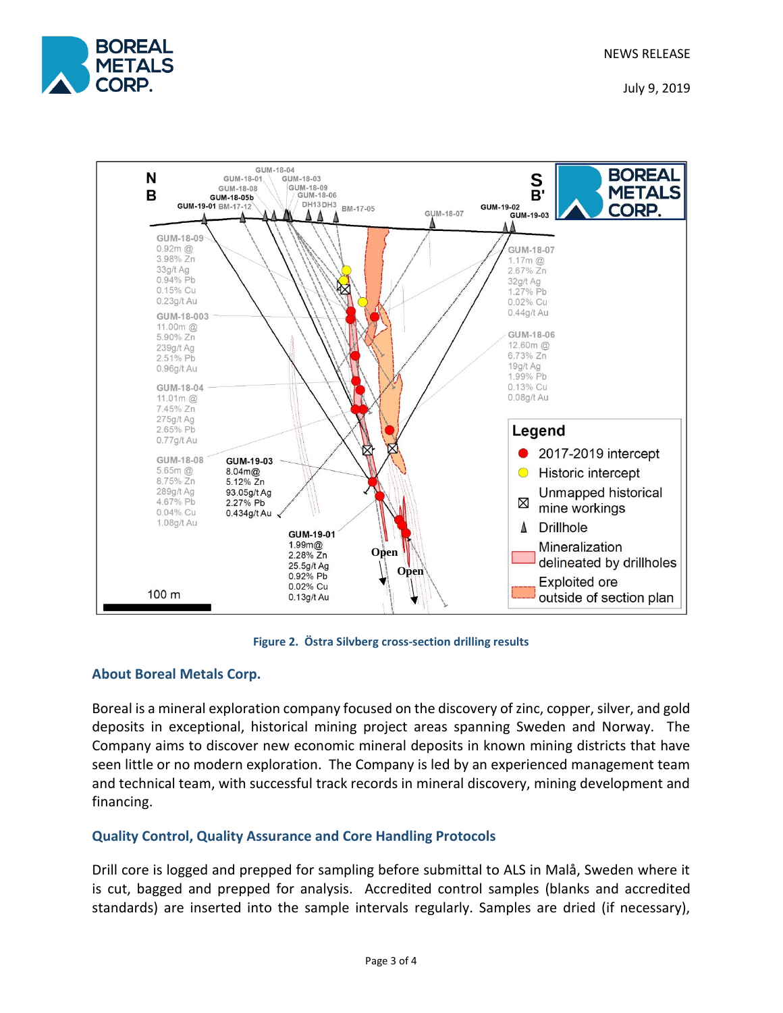

July 9, 2019



**Figure 2. Östra Silvberg cross-section drilling results**

## **About Boreal Metals Corp.**

Boreal is a mineral exploration company focused on the discovery of zinc, copper, silver, and gold deposits in exceptional, historical mining project areas spanning Sweden and Norway. The Company aims to discover new economic mineral deposits in known mining districts that have seen little or no modern exploration. The Company is led by an experienced management team and technical team, with successful track records in mineral discovery, mining development and financing.

# **Quality Control, Quality Assurance and Core Handling Protocols**

Drill core is logged and prepped for sampling before submittal to ALS in Malå, Sweden where it is cut, bagged and prepped for analysis. Accredited control samples (blanks and accredited standards) are inserted into the sample intervals regularly. Samples are dried (if necessary),